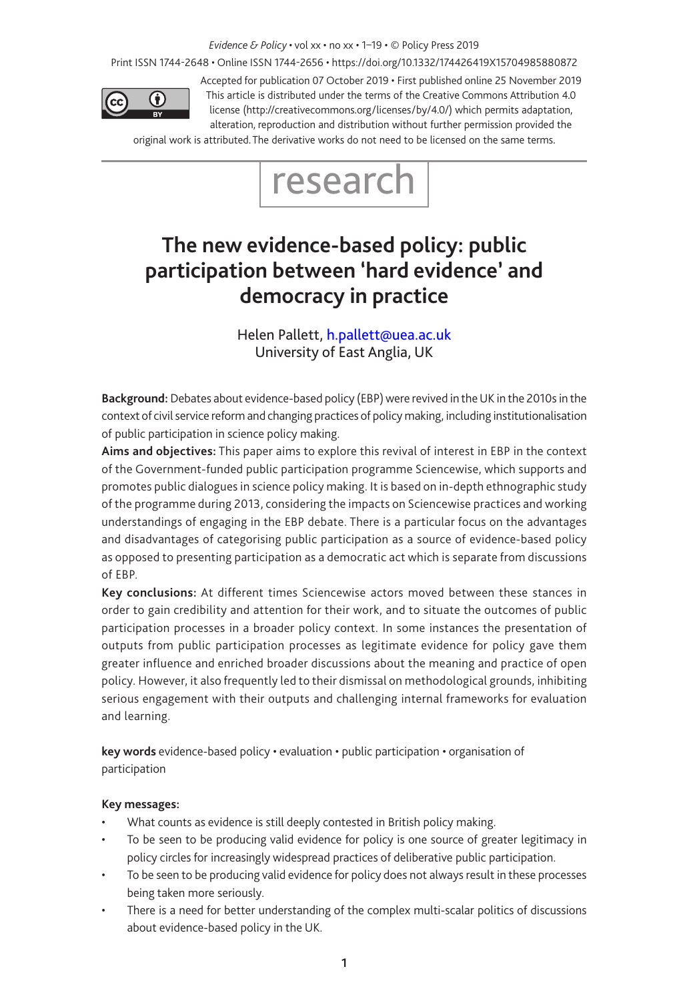#### *Evidence & Policy* • vol xx • no xx • 1–19 • © Policy Press 2019

Print ISSN 1744-2648 • Online ISSN 1744-2656 • https://doi.org/10.1332/174426419X15704985880872



Accepted for publication 07 October 2019 • First published online 25 November 2019 This article is distributed under the terms of the Creative Commons Attribution 4.0 license (http://creativecommons.org/licenses/by/4.0/) which permits adaptation, alteration, reproduction and distribution without further permission provided the

original work is attributed. The derivative works do not need to be licensed on the same terms.



# <span id="page-0-0"></span>**The new evidence-based policy: public participation between 'hard evidence' and democracy in practice**

Helen Pallett, [h.pallett@uea.ac.uk](mailto:h.pallett@uea.ac.uk) University of East Anglia, UK

**Background:** Debates about evidence-based policy (EBP) were revived in the UK in the 2010s in the context of civil service reform and changing practices of policy making, including institutionalisation of public participation in science policy making.

**Aims and objectives:** This paper aims to explore this revival of interest in EBP in the context of the Government-funded public participation programme Sciencewise, which supports and promotes public dialogues in science policy making. It is based on in-depth ethnographic study of the programme during 2013, considering the impacts on Sciencewise practices and working understandings of engaging in the EBP debate. There is a particular focus on the advantages and disadvantages of categorising public participation as a source of evidence-based policy as opposed to presenting participation as a democratic act which is separate from discussions of EBP.

**Key conclusions:** At different times Sciencewise actors moved between these stances in order to gain credibility and attention for their work, and to situate the outcomes of public participation processes in a broader policy context. In some instances the presentation of outputs from public participation processes as legitimate evidence for policy gave them greater influence and enriched broader discussions about the meaning and practice of open policy. However, it also frequently led to their dismissal on methodological grounds, inhibiting serious engagement with their outputs and challenging internal frameworks for evaluation and learning.

**key words** evidence-based policy • evaluation • public participation • organisation of participation

#### **Key messages:**

- What counts as evidence is still deeply contested in British policy making.
- To be seen to be producing valid evidence for policy is one source of greater legitimacy in policy circles for increasingly widespread practices of deliberative public participation.
- To be seen to be producing valid evidence for policy does not always result in these processes being taken more seriously.
- There is a need for better understanding of the complex multi-scalar politics of discussions about evidence-based policy in the UK.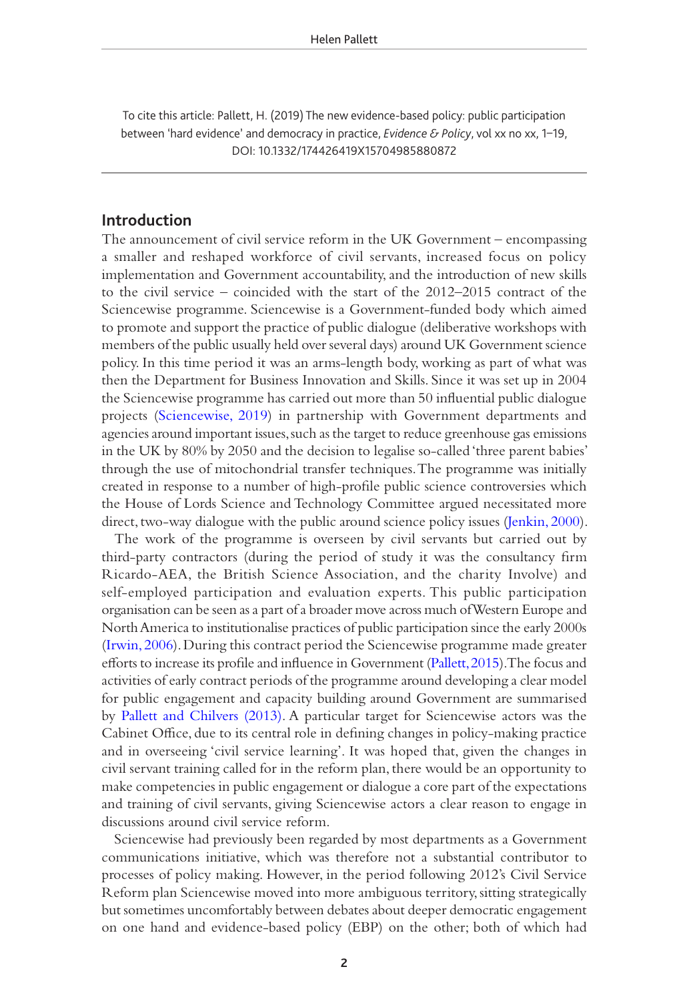To cite this article: Pallett, H. (2019) The new evidence-based policy: public participation between 'hard evidence' and democracy in practice, *Evidence & Policy*, vol xx no xx, [1](#page-0-0)[–19,](#page-18-0) DOI: 10.1332/174426419X15704985880872

## **Introduction**

The announcement of civil service reform in the UK Government – encompassing a smaller and reshaped workforce of civil servants, increased focus on policy implementation and Government accountability, and the introduction of new skills to the civil service – coincided with the start of the 2012–2015 contract of the Sciencewise programme. Sciencewise is a Government-funded body which aimed to promote and support the practice of public dialogue (deliberative workshops with members of the public usually held over several days) around UK Government science policy. In this time period it was an arms-length body, working as part of what was then the Department for Business Innovation and Skills. Since it was set up in 2004 the Sciencewise programme has carried out more than 50 influential public dialogue projects [\(Sciencewise, 2019\)](#page-18-1) in partnership with Government departments and agencies around important issues, such as the target to reduce greenhouse gas emissions in the UK by 80% by 2050 and the decision to legalise so-called 'three parent babies' through the use of mitochondrial transfer techniques. The programme was initially created in response to a number of high-profile public science controversies which the House of Lords Science and Technology Committee argued necessitated more direct, two-way dialogue with the public around science policy issues ([Jenkin, 2000\)](#page-17-0).

The work of the programme is overseen by civil servants but carried out by third-party contractors (during the period of study it was the consultancy firm Ricardo-AEA, the British Science Association, and the charity Involve) and self-employed participation and evaluation experts. This public participation organisation can be seen as a part of a broader move across much of Western Europe and North America to institutionalise practices of public participation since the early 2000s [\(Irwin, 2006\)](#page-17-1). During this contract period the Sciencewise programme made greater efforts to increase its profile and influence in Government [\(Pallett, 2015\)](#page-17-2). The focus and activities of early contract periods of the programme around developing a clear model for public engagement and capacity building around Government are summarised by [Pallett and Chilvers \(2013\)](#page-17-3). A particular target for Sciencewise actors was the Cabinet Office, due to its central role in defining changes in policy-making practice and in overseeing 'civil service learning'. It was hoped that, given the changes in civil servant training called for in the reform plan, there would be an opportunity to make competencies in public engagement or dialogue a core part of the expectations and training of civil servants, giving Sciencewise actors a clear reason to engage in discussions around civil service reform.

Sciencewise had previously been regarded by most departments as a Government communications initiative, which was therefore not a substantial contributor to processes of policy making. However, in the period following 2012's Civil Service Reform plan Sciencewise moved into more ambiguous territory, sitting strategically but sometimes uncomfortably between debates about deeper democratic engagement on one hand and evidence-based policy (EBP) on the other; both of which had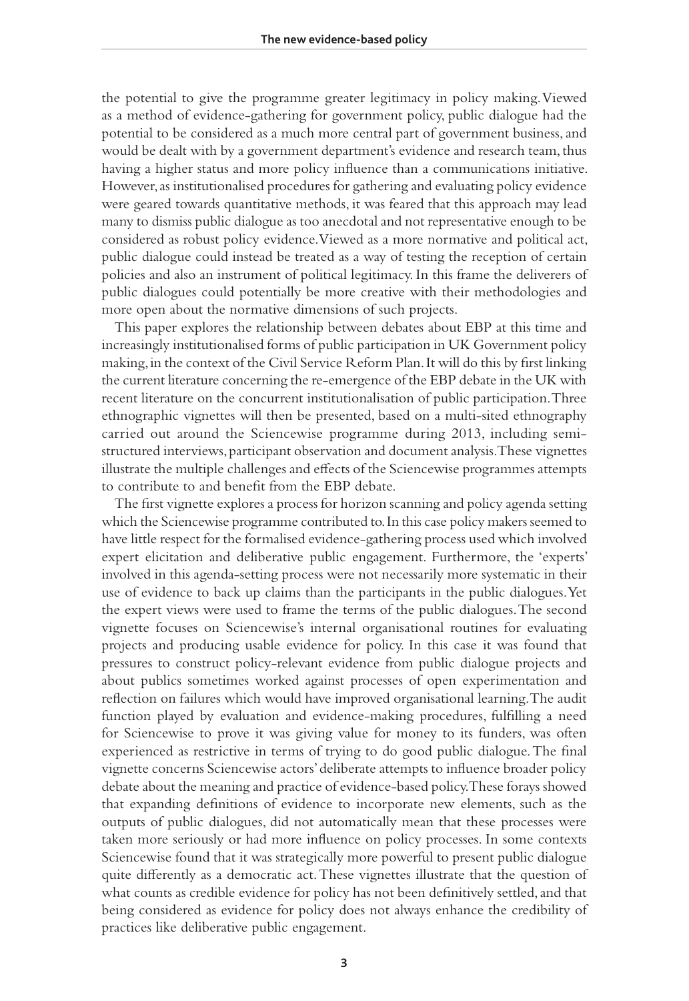the potential to give the programme greater legitimacy in policy making. Viewed as a method of evidence-gathering for government policy, public dialogue had the potential to be considered as a much more central part of government business, and would be dealt with by a government department's evidence and research team, thus having a higher status and more policy influence than a communications initiative. However, as institutionalised procedures for gathering and evaluating policy evidence were geared towards quantitative methods, it was feared that this approach may lead many to dismiss public dialogue as too anecdotal and not representative enough to be considered as robust policy evidence. Viewed as a more normative and political act, public dialogue could instead be treated as a way of testing the reception of certain policies and also an instrument of political legitimacy. In this frame the deliverers of public dialogues could potentially be more creative with their methodologies and more open about the normative dimensions of such projects.

This paper explores the relationship between debates about EBP at this time and increasingly institutionalised forms of public participation in UK Government policy making, in the context of the Civil Service Reform Plan. It will do this by first linking the current literature concerning the re-emergence of the EBP debate in the UK with recent literature on the concurrent institutionalisation of public participation. Three ethnographic vignettes will then be presented, based on a multi-sited ethnography carried out around the Sciencewise programme during 2013, including semistructured interviews, participant observation and document analysis. These vignettes illustrate the multiple challenges and effects of the Sciencewise programmes attempts to contribute to and benefit from the EBP debate.

The first vignette explores a process for horizon scanning and policy agenda setting which the Sciencewise programme contributed to. In this case policy makers seemed to have little respect for the formalised evidence-gathering process used which involved expert elicitation and deliberative public engagement. Furthermore, the 'experts' involved in this agenda-setting process were not necessarily more systematic in their use of evidence to back up claims than the participants in the public dialogues. Yet the expert views were used to frame the terms of the public dialogues. The second vignette focuses on Sciencewise's internal organisational routines for evaluating projects and producing usable evidence for policy. In this case it was found that pressures to construct policy-relevant evidence from public dialogue projects and about publics sometimes worked against processes of open experimentation and reflection on failures which would have improved organisational learning. The audit function played by evaluation and evidence-making procedures, fulfilling a need for Sciencewise to prove it was giving value for money to its funders, was often experienced as restrictive in terms of trying to do good public dialogue. The final vignette concerns Sciencewise actors' deliberate attempts to influence broader policy debate about the meaning and practice of evidence-based policy. These forays showed that expanding definitions of evidence to incorporate new elements, such as the outputs of public dialogues, did not automatically mean that these processes were taken more seriously or had more influence on policy processes. In some contexts Sciencewise found that it was strategically more powerful to present public dialogue quite differently as a democratic act. These vignettes illustrate that the question of what counts as credible evidence for policy has not been definitively settled, and that being considered as evidence for policy does not always enhance the credibility of practices like deliberative public engagement.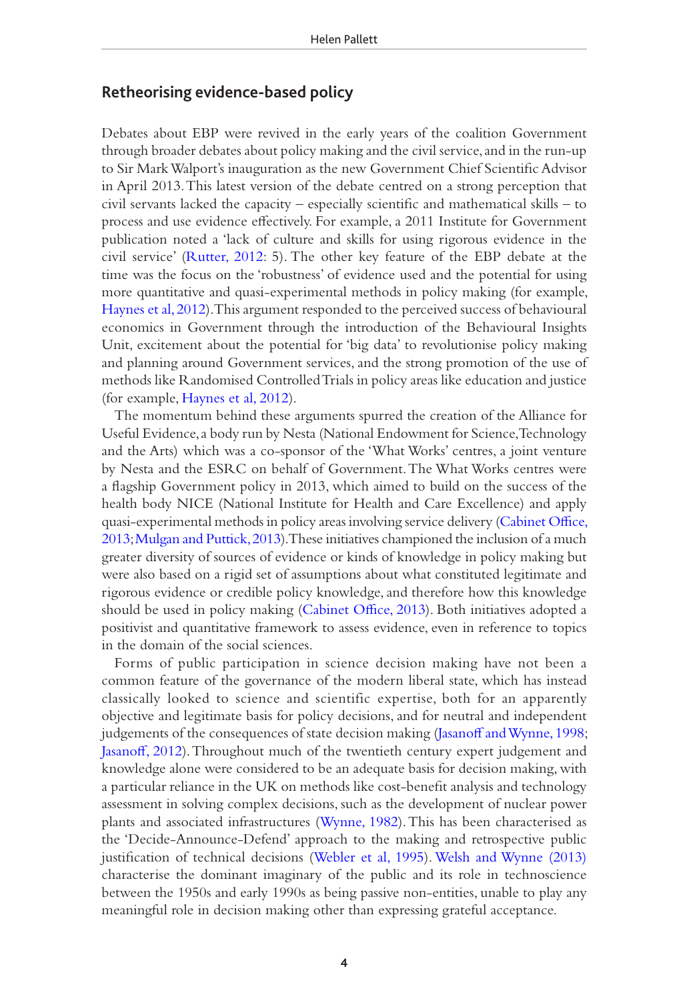## **Retheorising evidence-based policy**

Debates about EBP were revived in the early years of the coalition Government through broader debates about policy making and the civil service, and in the run-up to Sir Mark Walport's inauguration as the new Government Chief Scientific Advisor in April 2013. This latest version of the debate centred on a strong perception that civil servants lacked the capacity – especially scientific and mathematical skills – to process and use evidence effectively. For example, a 2011 Institute for Government publication noted a 'lack of culture and skills for using rigorous evidence in the civil service' ([Rutter, 2012](#page-17-4): 5). The other key feature of the EBP debate at the time was the focus on the 'robustness' of evidence used and the potential for using more quantitative and quasi-experimental methods in policy making (for example, [Haynes et al, 2012\)](#page-16-0). This argument responded to the perceived success of behavioural economics in Government through the introduction of the Behavioural Insights Unit, excitement about the potential for 'big data' to revolutionise policy making and planning around Government services, and the strong promotion of the use of methods like Randomised Controlled Trials in policy areas like education and justice (for example, [Haynes et al, 2012](#page-16-0)).

The momentum behind these arguments spurred the creation of the Alliance for Useful Evidence, a body run by Nesta (National Endowment for Science, Technology and the Arts) which was a co-sponsor of the 'What Works' centres, a joint venture by Nesta and the ESRC on behalf of Government. The What Works centres were a flagship Government policy in 2013, which aimed to build on the success of the health body NICE (National Institute for Health and Care Excellence) and apply quasi-experimental methods in policy areas involving service delivery [\(Cabinet Office,](#page-16-1)  [2013](#page-16-1); [Mulgan and Puttick, 2013\)](#page-17-5). These initiatives championed the inclusion of a much greater diversity of sources of evidence or kinds of knowledge in policy making but were also based on a rigid set of assumptions about what constituted legitimate and rigorous evidence or credible policy knowledge, and therefore how this knowledge should be used in policy making [\(Cabinet Office, 2013](#page-16-1)). Both initiatives adopted a positivist and quantitative framework to assess evidence, even in reference to topics in the domain of the social sciences.

Forms of public participation in science decision making have not been a common feature of the governance of the modern liberal state, which has instead classically looked to science and scientific expertise, both for an apparently objective and legitimate basis for policy decisions, and for neutral and independent judgements of the consequences of state decision making [\(Jasanoff and Wynne, 1998;](#page-17-6) [Jasanoff, 2012\)](#page-17-7). Throughout much of the twentieth century expert judgement and knowledge alone were considered to be an adequate basis for decision making, with a particular reliance in the UK on methods like cost-benefit analysis and technology assessment in solving complex decisions, such as the development of nuclear power plants and associated infrastructures ([Wynne, 1982\)](#page-18-2). This has been characterised as the 'Decide-Announce-Defend' approach to the making and retrospective public justification of technical decisions [\(Webler et al, 1995](#page-18-3)). [Welsh and Wynne \(2013](#page-18-4)) characterise the dominant imaginary of the public and its role in technoscience between the 1950s and early 1990s as being passive non-entities, unable to play any meaningful role in decision making other than expressing grateful acceptance.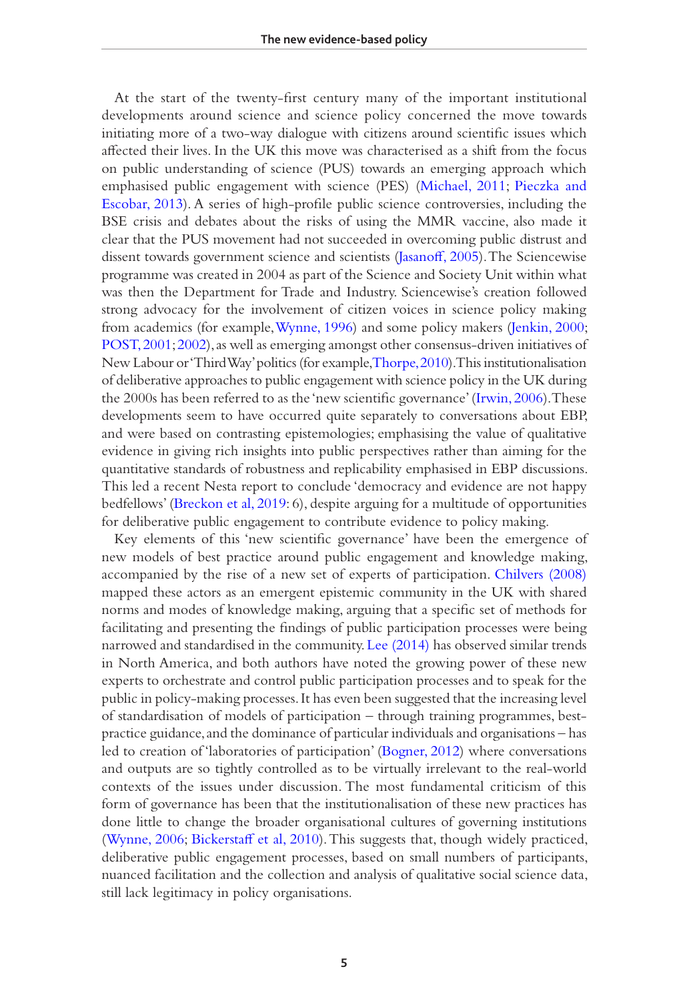At the start of the twenty-first century many of the important institutional developments around science and science policy concerned the move towards initiating more of a two-way dialogue with citizens around scientific issues which affected their lives. In the UK this move was characterised as a shift from the focus on public understanding of science (PUS) towards an emerging approach which emphasised public engagement with science (PES) ([Michael, 2011](#page-17-8); [Pieczka and](#page-17-9)  [Escobar, 2013\)](#page-17-9). A series of high-profile public science controversies, including the BSE crisis and debates about the risks of using the MMR vaccine, also made it clear that the PUS movement had not succeeded in overcoming public distrust and dissent towards government science and scientists [\(Jasanoff, 2005](#page-17-10)). The Sciencewise programme was created in 2004 as part of the Science and Society Unit within what was then the Department for Trade and Industry. Sciencewise's creation followed strong advocacy for the involvement of citizen voices in science policy making from academics (for example, [Wynne, 1996\)](#page-18-5) and some policy makers [\(Jenkin, 2000;](#page-17-0) [POST, 2001;](#page-17-11) [2002](#page-17-12)), as well as emerging amongst other consensus-driven initiatives of New Labour or 'Third Way' politics (for example[, Thorpe, 2010\)](#page-18-6). This institutionalisation of deliberative approaches to public engagement with science policy in the UK during the 2000s has been referred to as the 'new scientific governance' [\(Irwin, 2006\)](#page-17-1). These developments seem to have occurred quite separately to conversations about EBP, and were based on contrasting epistemologies; emphasising the value of qualitative evidence in giving rich insights into public perspectives rather than aiming for the quantitative standards of robustness and replicability emphasised in EBP discussions. This led a recent Nesta report to conclude 'democracy and evidence are not happy bedfellows' [\(Breckon et al, 2019:](#page-16-2) 6), despite arguing for a multitude of opportunities for deliberative public engagement to contribute evidence to policy making.

Key elements of this 'new scientific governance' have been the emergence of new models of best practice around public engagement and knowledge making, accompanied by the rise of a new set of experts of participation. [Chilvers \(2008](#page-16-3)) mapped these actors as an emergent epistemic community in the UK with shared norms and modes of knowledge making, arguing that a specific set of methods for facilitating and presenting the findings of public participation processes were being narrowed and standardised in the community. [Lee \(2014](#page-17-13)) has observed similar trends in North America, and both authors have noted the growing power of these new experts to orchestrate and control public participation processes and to speak for the public in policy-making processes. It has even been suggested that the increasing level of standardisation of models of participation – through training programmes, bestpractice guidance, and the dominance of particular individuals and organisations – has led to creation of 'laboratories of participation' [\(Bogner, 2012\)](#page-16-4) where conversations and outputs are so tightly controlled as to be virtually irrelevant to the real-world contexts of the issues under discussion. The most fundamental criticism of this form of governance has been that the institutionalisation of these new practices has done little to change the broader organisational cultures of governing institutions [\(Wynne, 2006](#page-18-7); [Bickerstaff et al, 2010\)](#page-16-5). This suggests that, though widely practiced, deliberative public engagement processes, based on small numbers of participants, nuanced facilitation and the collection and analysis of qualitative social science data, still lack legitimacy in policy organisations.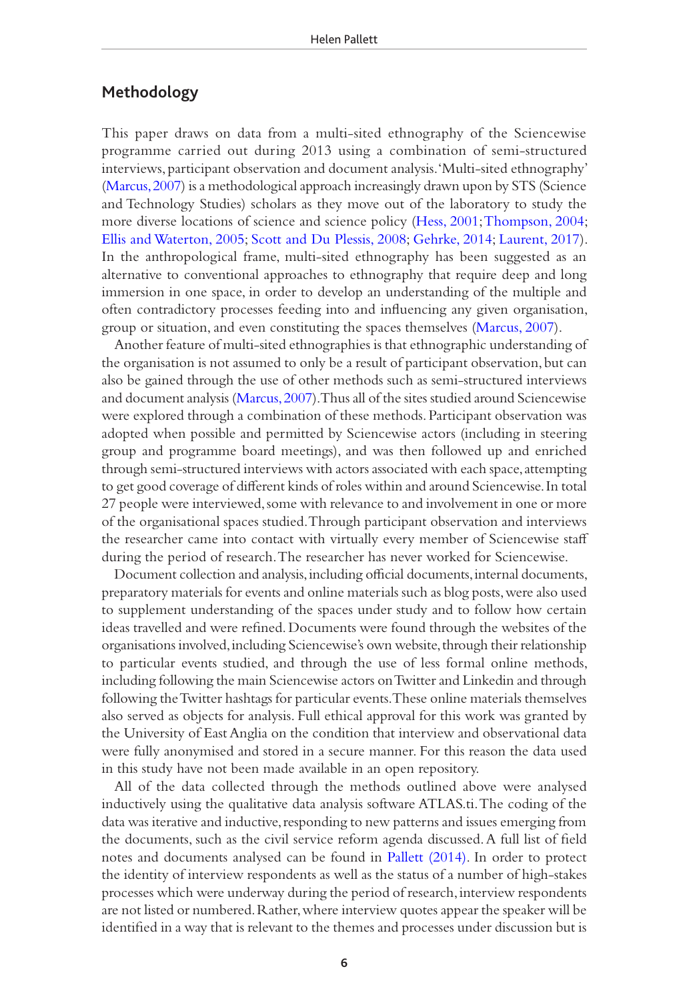# **Methodology**

This paper draws on data from a multi-sited ethnography of the Sciencewise programme carried out during 2013 using a combination of semi-structured interviews, participant observation and document analysis. 'Multi-sited ethnography' [\(Marcus, 2007](#page-17-14)) is a methodological approach increasingly drawn upon by STS (Science and Technology Studies) scholars as they move out of the laboratory to study the more diverse locations of science and science policy ([Hess, 2001](#page-16-6); [Thompson, 2004;](#page-18-8) [Ellis and Waterton, 2005](#page-16-7); [Scott and Du Plessis, 2008;](#page-18-9) [Gehrke, 2014;](#page-16-8) [Laurent, 2017\)](#page-17-15). In the anthropological frame, multi-sited ethnography has been suggested as an alternative to conventional approaches to ethnography that require deep and long immersion in one space, in order to develop an understanding of the multiple and often contradictory processes feeding into and influencing any given organisation, group or situation, and even constituting the spaces themselves [\(Marcus, 2007\)](#page-17-14).

Another feature of multi-sited ethnographies is that ethnographic understanding of the organisation is not assumed to only be a result of participant observation, but can also be gained through the use of other methods such as semi-structured interviews and document analysis [\(Marcus, 2007](#page-17-14)). Thus all of the sites studied around Sciencewise were explored through a combination of these methods. Participant observation was adopted when possible and permitted by Sciencewise actors (including in steering group and programme board meetings), and was then followed up and enriched through semi-structured interviews with actors associated with each space, attempting to get good coverage of different kinds of roles within and around Sciencewise. In total 27 people were interviewed, some with relevance to and involvement in one or more of the organisational spaces studied. Through participant observation and interviews the researcher came into contact with virtually every member of Sciencewise staff during the period of research. The researcher has never worked for Sciencewise.

Document collection and analysis, including official documents, internal documents, preparatory materials for events and online materials such as blog posts, were also used to supplement understanding of the spaces under study and to follow how certain ideas travelled and were refined. Documents were found through the websites of the organisations involved, including Sciencewise's own website, through their relationship to particular events studied, and through the use of less formal online methods, including following the main Sciencewise actors on Twitter and Linkedin and through following the Twitter hashtags for particular events. These online materials themselves also served as objects for analysis. Full ethical approval for this work was granted by the University of East Anglia on the condition that interview and observational data were fully anonymised and stored in a secure manner. For this reason the data used in this study have not been made available in an open repository.

All of the data collected through the methods outlined above were analysed inductively using the qualitative data analysis software ATLAS.ti. The coding of the data was iterative and inductive, responding to new patterns and issues emerging from the documents, such as the civil service reform agenda discussed. A full list of field notes and documents analysed can be found in [Pallett \(2014](#page-17-16)). In order to protect the identity of interview respondents as well as the status of a number of high-stakes processes which were underway during the period of research, interview respondents are not listed or numbered. Rather, where interview quotes appear the speaker will be identified in a way that is relevant to the themes and processes under discussion but is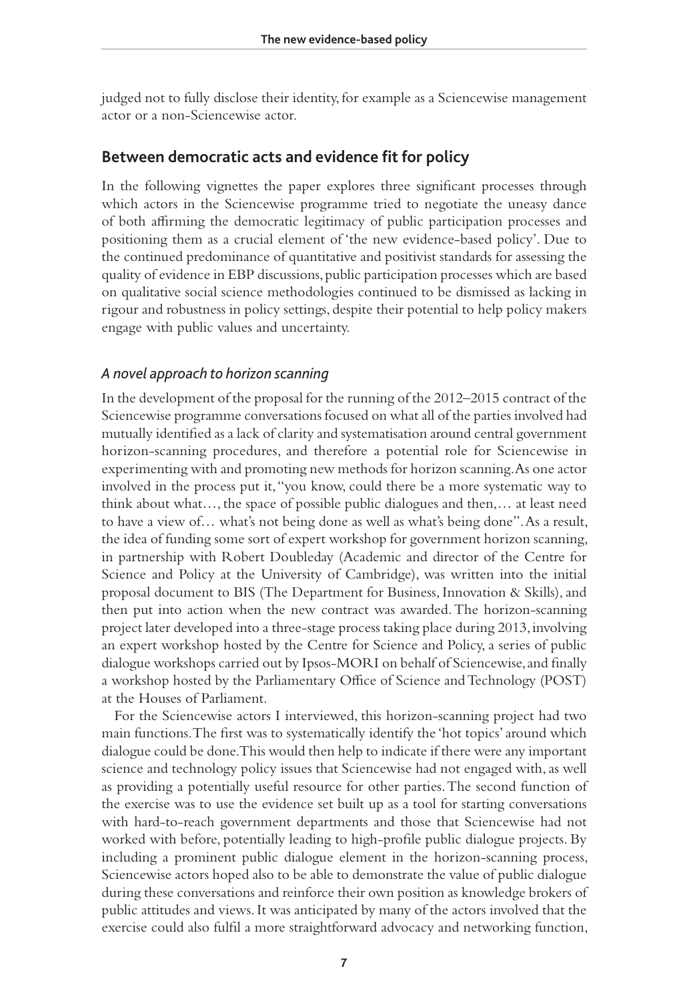judged not to fully disclose their identity, for example as a Sciencewise management actor or a non-Sciencewise actor.

# **Between democratic acts and evidence fit for policy**

In the following vignettes the paper explores three significant processes through which actors in the Sciencewise programme tried to negotiate the uneasy dance of both affirming the democratic legitimacy of public participation processes and positioning them as a crucial element of 'the new evidence-based policy'. Due to the continued predominance of quantitative and positivist standards for assessing the quality of evidence in EBP discussions, public participation processes which are based on qualitative social science methodologies continued to be dismissed as lacking in rigour and robustness in policy settings, despite their potential to help policy makers engage with public values and uncertainty.

# *A novel approach to horizon scanning*

In the development of the proposal for the running of the 2012–2015 contract of the Sciencewise programme conversations focused on what all of the parties involved had mutually identified as a lack of clarity and systematisation around central government horizon-scanning procedures, and therefore a potential role for Sciencewise in experimenting with and promoting new methods for horizon scanning. As one actor involved in the process put it, "you know, could there be a more systematic way to think about what…, the space of possible public dialogues and then,… at least need to have a view of… what's not being done as well as what's being done". As a result, the idea of funding some sort of expert workshop for government horizon scanning, in partnership with Robert Doubleday (Academic and director of the Centre for Science and Policy at the University of Cambridge), was written into the initial proposal document to BIS (The Department for Business, Innovation & Skills), and then put into action when the new contract was awarded. The horizon-scanning project later developed into a three-stage process taking place during 2013, involving an expert workshop hosted by the Centre for Science and Policy, a series of public dialogue workshops carried out by Ipsos-MORI on behalf of Sciencewise, and finally a workshop hosted by the Parliamentary Office of Science and Technology (POST) at the Houses of Parliament.

For the Sciencewise actors I interviewed, this horizon-scanning project had two main functions. The first was to systematically identify the 'hot topics' around which dialogue could be done. This would then help to indicate if there were any important science and technology policy issues that Sciencewise had not engaged with, as well as providing a potentially useful resource for other parties. The second function of the exercise was to use the evidence set built up as a tool for starting conversations with hard-to-reach government departments and those that Sciencewise had not worked with before, potentially leading to high-profile public dialogue projects. By including a prominent public dialogue element in the horizon-scanning process, Sciencewise actors hoped also to be able to demonstrate the value of public dialogue during these conversations and reinforce their own position as knowledge brokers of public attitudes and views. It was anticipated by many of the actors involved that the exercise could also fulfil a more straightforward advocacy and networking function,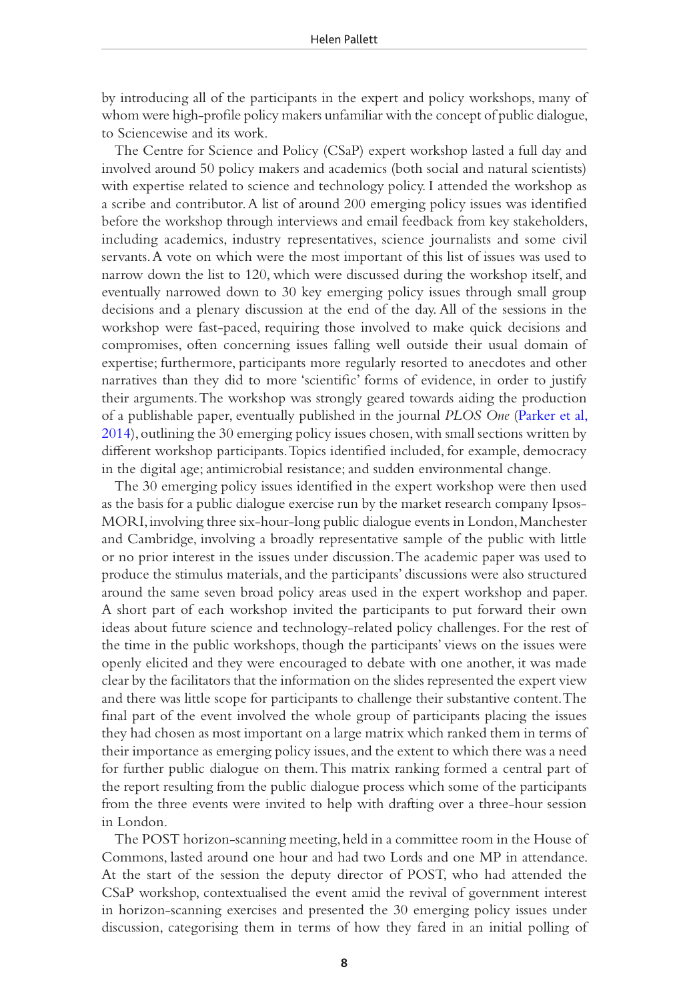by introducing all of the participants in the expert and policy workshops, many of whom were high-profile policy makers unfamiliar with the concept of public dialogue, to Sciencewise and its work.

The Centre for Science and Policy (CSaP) expert workshop lasted a full day and involved around 50 policy makers and academics (both social and natural scientists) with expertise related to science and technology policy. I attended the workshop as a scribe and contributor. A list of around 200 emerging policy issues was identified before the workshop through interviews and email feedback from key stakeholders, including academics, industry representatives, science journalists and some civil servants. A vote on which were the most important of this list of issues was used to narrow down the list to 120, which were discussed during the workshop itself, and eventually narrowed down to 30 key emerging policy issues through small group decisions and a plenary discussion at the end of the day. All of the sessions in the workshop were fast-paced, requiring those involved to make quick decisions and compromises, often concerning issues falling well outside their usual domain of expertise; furthermore, participants more regularly resorted to anecdotes and other narratives than they did to more 'scientific' forms of evidence, in order to justify their arguments. The workshop was strongly geared towards aiding the production of a publishable paper, eventually published in the journal *PLOS One* [\(Parker et al,](#page-17-17)  [2014\)](#page-17-17), outlining the 30 emerging policy issues chosen, with small sections written by different workshop participants. Topics identified included, for example, democracy in the digital age; antimicrobial resistance; and sudden environmental change.

The 30 emerging policy issues identified in the expert workshop were then used as the basis for a public dialogue exercise run by the market research company Ipsos-MORI, involving three six-hour-long public dialogue events in London, Manchester and Cambridge, involving a broadly representative sample of the public with little or no prior interest in the issues under discussion. The academic paper was used to produce the stimulus materials, and the participants' discussions were also structured around the same seven broad policy areas used in the expert workshop and paper. A short part of each workshop invited the participants to put forward their own ideas about future science and technology-related policy challenges. For the rest of the time in the public workshops, though the participants' views on the issues were openly elicited and they were encouraged to debate with one another, it was made clear by the facilitators that the information on the slides represented the expert view and there was little scope for participants to challenge their substantive content. The final part of the event involved the whole group of participants placing the issues they had chosen as most important on a large matrix which ranked them in terms of their importance as emerging policy issues, and the extent to which there was a need for further public dialogue on them. This matrix ranking formed a central part of the report resulting from the public dialogue process which some of the participants from the three events were invited to help with drafting over a three-hour session in London.

The POST horizon-scanning meeting, held in a committee room in the House of Commons, lasted around one hour and had two Lords and one MP in attendance. At the start of the session the deputy director of POST, who had attended the CSaP workshop, contextualised the event amid the revival of government interest in horizon-scanning exercises and presented the 30 emerging policy issues under discussion, categorising them in terms of how they fared in an initial polling of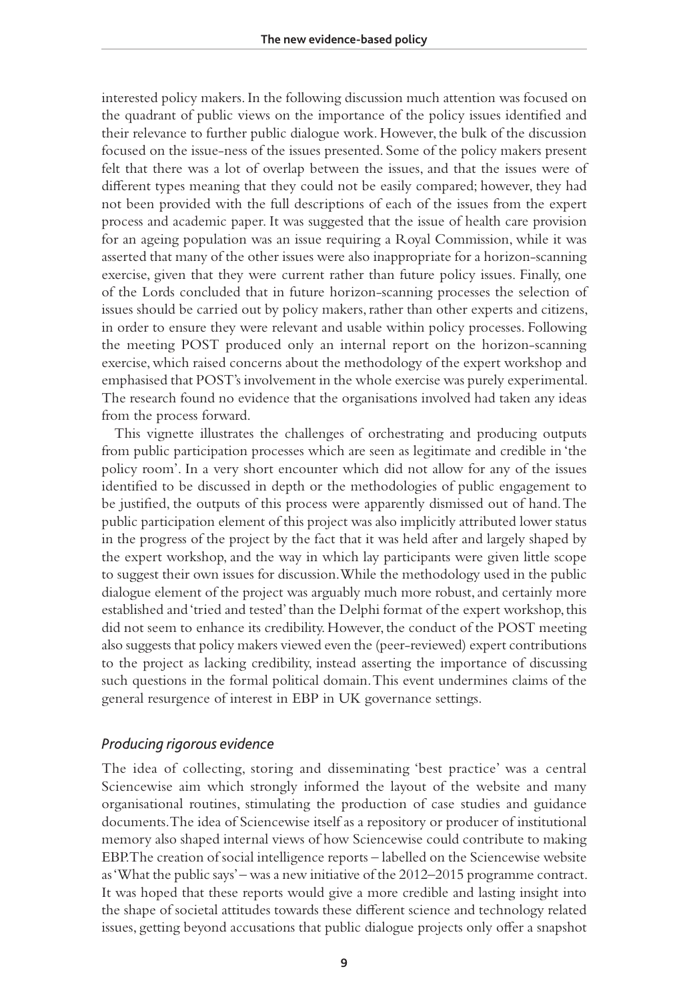interested policy makers. In the following discussion much attention was focused on the quadrant of public views on the importance of the policy issues identified and their relevance to further public dialogue work. However, the bulk of the discussion focused on the issue-ness of the issues presented. Some of the policy makers present felt that there was a lot of overlap between the issues, and that the issues were of different types meaning that they could not be easily compared; however, they had not been provided with the full descriptions of each of the issues from the expert process and academic paper. It was suggested that the issue of health care provision for an ageing population was an issue requiring a Royal Commission, while it was asserted that many of the other issues were also inappropriate for a horizon-scanning exercise, given that they were current rather than future policy issues. Finally, one of the Lords concluded that in future horizon-scanning processes the selection of issues should be carried out by policy makers, rather than other experts and citizens, in order to ensure they were relevant and usable within policy processes. Following the meeting POST produced only an internal report on the horizon-scanning exercise, which raised concerns about the methodology of the expert workshop and emphasised that POST's involvement in the whole exercise was purely experimental. The research found no evidence that the organisations involved had taken any ideas from the process forward.

This vignette illustrates the challenges of orchestrating and producing outputs from public participation processes which are seen as legitimate and credible in 'the policy room'. In a very short encounter which did not allow for any of the issues identified to be discussed in depth or the methodologies of public engagement to be justified, the outputs of this process were apparently dismissed out of hand. The public participation element of this project was also implicitly attributed lower status in the progress of the project by the fact that it was held after and largely shaped by the expert workshop, and the way in which lay participants were given little scope to suggest their own issues for discussion. While the methodology used in the public dialogue element of the project was arguably much more robust, and certainly more established and 'tried and tested' than the Delphi format of the expert workshop, this did not seem to enhance its credibility. However, the conduct of the POST meeting also suggests that policy makers viewed even the (peer-reviewed) expert contributions to the project as lacking credibility, instead asserting the importance of discussing such questions in the formal political domain. This event undermines claims of the general resurgence of interest in EBP in UK governance settings.

### *Producing rigorous evidence*

The idea of collecting, storing and disseminating 'best practice' was a central Sciencewise aim which strongly informed the layout of the website and many organisational routines, stimulating the production of case studies and guidance documents. The idea of Sciencewise itself as a repository or producer of institutional memory also shaped internal views of how Sciencewise could contribute to making EBP. The creation of social intelligence reports – labelled on the Sciencewise website as 'What the public says' – was a new initiative of the 2012–2015 programme contract. It was hoped that these reports would give a more credible and lasting insight into the shape of societal attitudes towards these different science and technology related issues, getting beyond accusations that public dialogue projects only offer a snapshot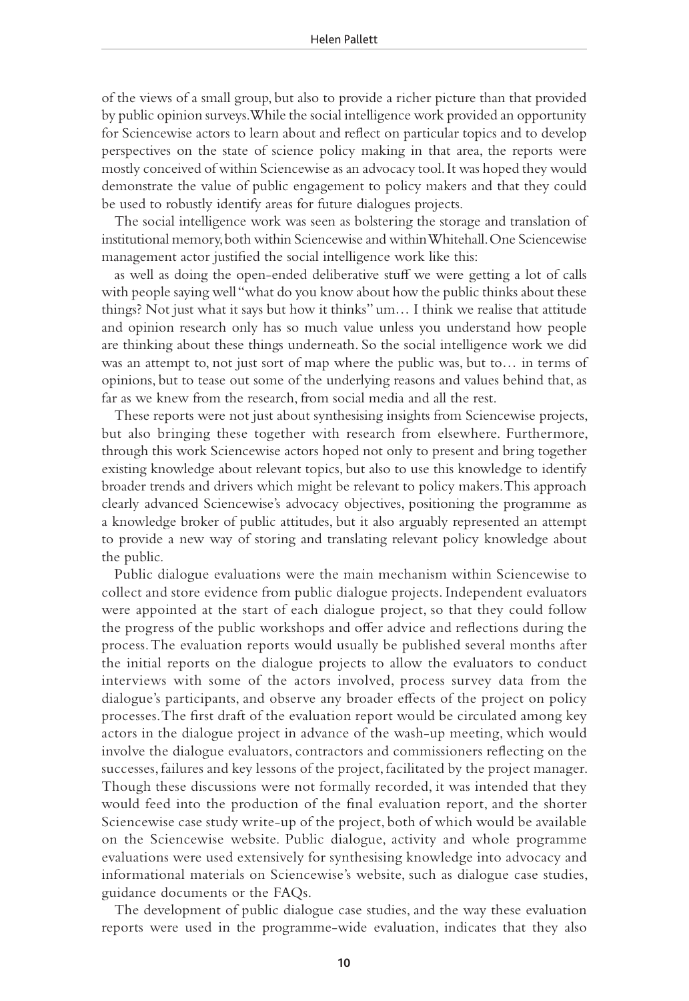of the views of a small group, but also to provide a richer picture than that provided by public opinion surveys. While the social intelligence work provided an opportunity for Sciencewise actors to learn about and reflect on particular topics and to develop perspectives on the state of science policy making in that area, the reports were mostly conceived of within Sciencewise as an advocacy tool. It was hoped they would demonstrate the value of public engagement to policy makers and that they could be used to robustly identify areas for future dialogues projects.

The social intelligence work was seen as bolstering the storage and translation of institutional memory, both within Sciencewise and within Whitehall. One Sciencewise management actor justified the social intelligence work like this:

as well as doing the open-ended deliberative stuff we were getting a lot of calls with people saying well "what do you know about how the public thinks about these things? Not just what it says but how it thinks" um… I think we realise that attitude and opinion research only has so much value unless you understand how people are thinking about these things underneath. So the social intelligence work we did was an attempt to, not just sort of map where the public was, but to… in terms of opinions, but to tease out some of the underlying reasons and values behind that, as far as we knew from the research, from social media and all the rest.

These reports were not just about synthesising insights from Sciencewise projects, but also bringing these together with research from elsewhere. Furthermore, through this work Sciencewise actors hoped not only to present and bring together existing knowledge about relevant topics, but also to use this knowledge to identify broader trends and drivers which might be relevant to policy makers. This approach clearly advanced Sciencewise's advocacy objectives, positioning the programme as a knowledge broker of public attitudes, but it also arguably represented an attempt to provide a new way of storing and translating relevant policy knowledge about the public.

Public dialogue evaluations were the main mechanism within Sciencewise to collect and store evidence from public dialogue projects. Independent evaluators were appointed at the start of each dialogue project, so that they could follow the progress of the public workshops and offer advice and reflections during the process. The evaluation reports would usually be published several months after the initial reports on the dialogue projects to allow the evaluators to conduct interviews with some of the actors involved, process survey data from the dialogue's participants, and observe any broader effects of the project on policy processes. The first draft of the evaluation report would be circulated among key actors in the dialogue project in advance of the wash-up meeting, which would involve the dialogue evaluators, contractors and commissioners reflecting on the successes, failures and key lessons of the project, facilitated by the project manager. Though these discussions were not formally recorded, it was intended that they would feed into the production of the final evaluation report, and the shorter Sciencewise case study write-up of the project, both of which would be available on the Sciencewise website. Public dialogue, activity and whole programme evaluations were used extensively for synthesising knowledge into advocacy and informational materials on Sciencewise's website, such as dialogue case studies, guidance documents or the FAQs.

The development of public dialogue case studies, and the way these evaluation reports were used in the programme-wide evaluation, indicates that they also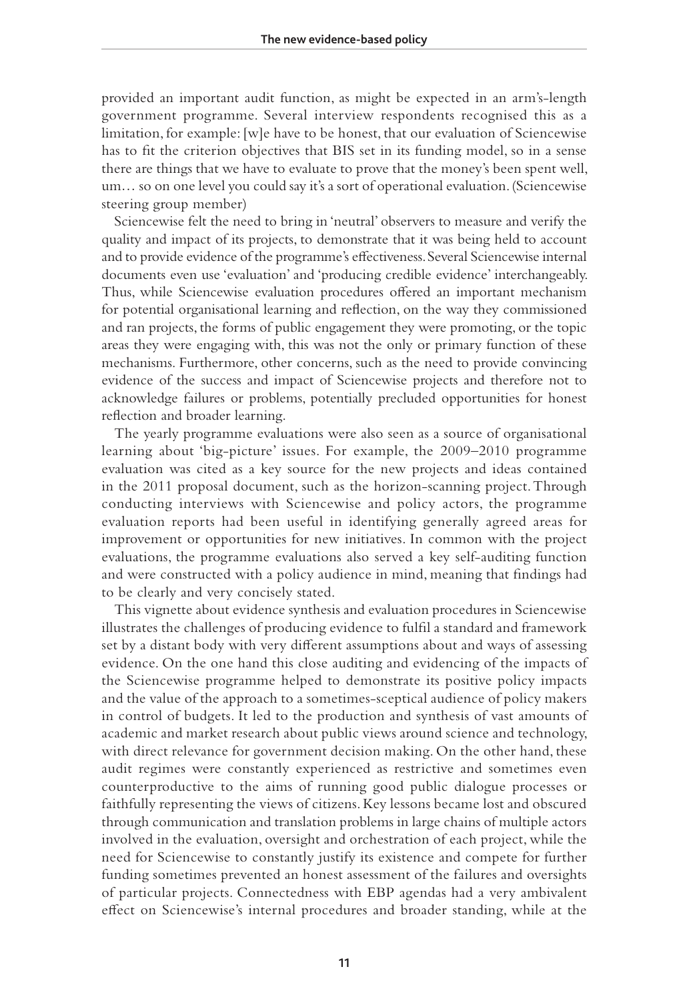provided an important audit function, as might be expected in an arm's-length government programme. Several interview respondents recognised this as a limitation, for example: [w]e have to be honest, that our evaluation of Sciencewise has to fit the criterion objectives that BIS set in its funding model, so in a sense there are things that we have to evaluate to prove that the money's been spent well, um… so on one level you could say it's a sort of operational evaluation. (Sciencewise steering group member)

Sciencewise felt the need to bring in 'neutral' observers to measure and verify the quality and impact of its projects, to demonstrate that it was being held to account and to provide evidence of the programme's effectiveness. Several Sciencewise internal documents even use 'evaluation' and 'producing credible evidence' interchangeably. Thus, while Sciencewise evaluation procedures offered an important mechanism for potential organisational learning and reflection, on the way they commissioned and ran projects, the forms of public engagement they were promoting, or the topic areas they were engaging with, this was not the only or primary function of these mechanisms. Furthermore, other concerns, such as the need to provide convincing evidence of the success and impact of Sciencewise projects and therefore not to acknowledge failures or problems, potentially precluded opportunities for honest reflection and broader learning.

The yearly programme evaluations were also seen as a source of organisational learning about 'big-picture' issues. For example, the 2009–2010 programme evaluation was cited as a key source for the new projects and ideas contained in the 2011 proposal document, such as the horizon-scanning project. Through conducting interviews with Sciencewise and policy actors, the programme evaluation reports had been useful in identifying generally agreed areas for improvement or opportunities for new initiatives. In common with the project evaluations, the programme evaluations also served a key self-auditing function and were constructed with a policy audience in mind, meaning that findings had to be clearly and very concisely stated.

This vignette about evidence synthesis and evaluation procedures in Sciencewise illustrates the challenges of producing evidence to fulfil a standard and framework set by a distant body with very different assumptions about and ways of assessing evidence. On the one hand this close auditing and evidencing of the impacts of the Sciencewise programme helped to demonstrate its positive policy impacts and the value of the approach to a sometimes-sceptical audience of policy makers in control of budgets. It led to the production and synthesis of vast amounts of academic and market research about public views around science and technology, with direct relevance for government decision making. On the other hand, these audit regimes were constantly experienced as restrictive and sometimes even counterproductive to the aims of running good public dialogue processes or faithfully representing the views of citizens. Key lessons became lost and obscured through communication and translation problems in large chains of multiple actors involved in the evaluation, oversight and orchestration of each project, while the need for Sciencewise to constantly justify its existence and compete for further funding sometimes prevented an honest assessment of the failures and oversights of particular projects. Connectedness with EBP agendas had a very ambivalent effect on Sciencewise's internal procedures and broader standing, while at the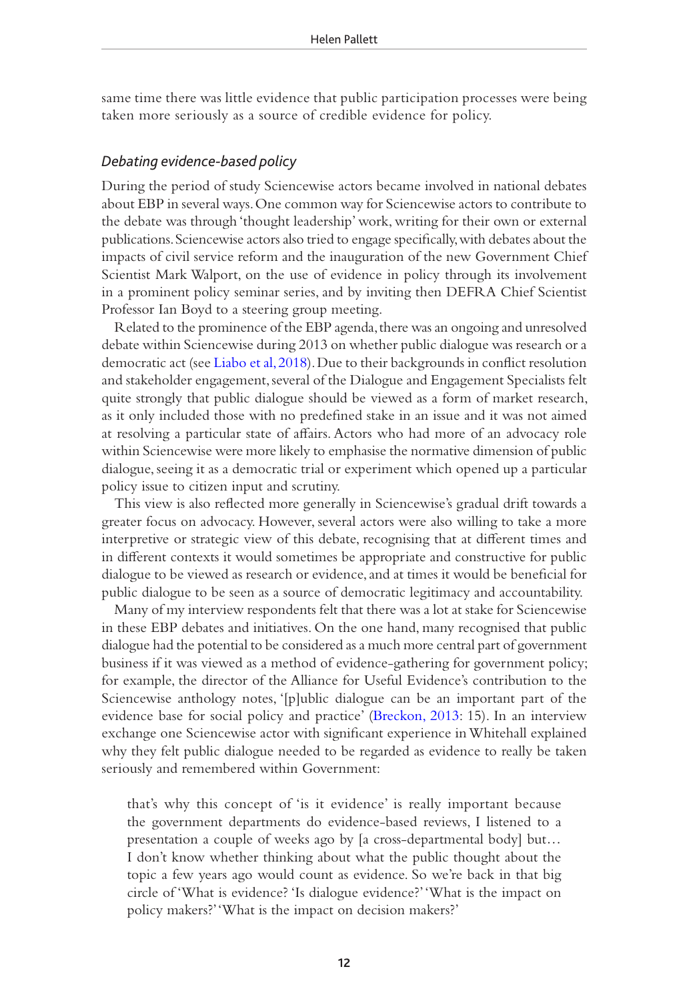same time there was little evidence that public participation processes were being taken more seriously as a source of credible evidence for policy.

### *Debating evidence-based policy*

During the period of study Sciencewise actors became involved in national debates about EBP in several ways. One common way for Sciencewise actors to contribute to the debate was through 'thought leadership' work, writing for their own or external publications. Sciencewise actors also tried to engage specifically, with debates about the impacts of civil service reform and the inauguration of the new Government Chief Scientist Mark Walport, on the use of evidence in policy through its involvement in a prominent policy seminar series, and by inviting then DEFRA Chief Scientist Professor Ian Boyd to a steering group meeting.

Related to the prominence of the EBP agenda, there was an ongoing and unresolved debate within Sciencewise during 2013 on whether public dialogue was research or a democratic act (see [Liabo et al, 2018\)](#page-17-18). Due to their backgrounds in conflict resolution and stakeholder engagement, several of the Dialogue and Engagement Specialists felt quite strongly that public dialogue should be viewed as a form of market research, as it only included those with no predefined stake in an issue and it was not aimed at resolving a particular state of affairs. Actors who had more of an advocacy role within Sciencewise were more likely to emphasise the normative dimension of public dialogue, seeing it as a democratic trial or experiment which opened up a particular policy issue to citizen input and scrutiny.

This view is also reflected more generally in Sciencewise's gradual drift towards a greater focus on advocacy. However, several actors were also willing to take a more interpretive or strategic view of this debate, recognising that at different times and in different contexts it would sometimes be appropriate and constructive for public dialogue to be viewed as research or evidence, and at times it would be beneficial for public dialogue to be seen as a source of democratic legitimacy and accountability.

Many of my interview respondents felt that there was a lot at stake for Sciencewise in these EBP debates and initiatives. On the one hand, many recognised that public dialogue had the potential to be considered as a much more central part of government business if it was viewed as a method of evidence-gathering for government policy; for example, the director of the Alliance for Useful Evidence's contribution to the Sciencewise anthology notes, '[p]ublic dialogue can be an important part of the evidence base for social policy and practice' [\(Breckon, 2013](#page-16-9): 15). In an interview exchange one Sciencewise actor with significant experience in Whitehall explained why they felt public dialogue needed to be regarded as evidence to really be taken seriously and remembered within Government:

that's why this concept of 'is it evidence' is really important because the government departments do evidence-based reviews, I listened to a presentation a couple of weeks ago by [a cross-departmental body] but… I don't know whether thinking about what the public thought about the topic a few years ago would count as evidence. So we're back in that big circle of 'What is evidence? 'Is dialogue evidence?' 'What is the impact on policy makers?' 'What is the impact on decision makers?'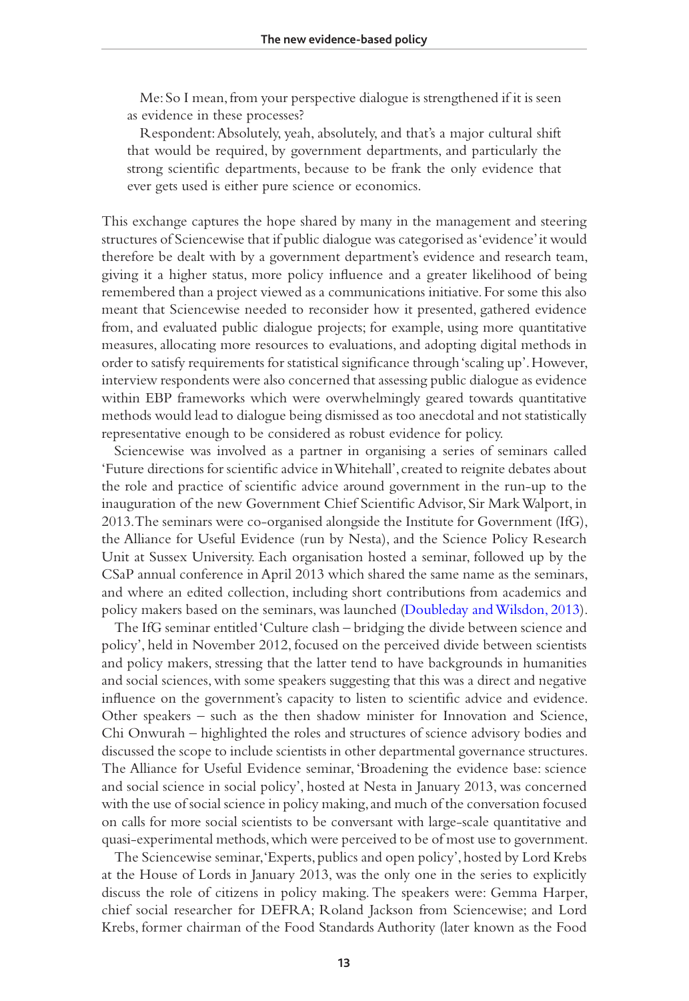Me: So I mean, from your perspective dialogue is strengthened if it is seen as evidence in these processes?

Respondent: Absolutely, yeah, absolutely, and that's a major cultural shift that would be required, by government departments, and particularly the strong scientific departments, because to be frank the only evidence that ever gets used is either pure science or economics.

This exchange captures the hope shared by many in the management and steering structures of Sciencewise that if public dialogue was categorised as 'evidence' it would therefore be dealt with by a government department's evidence and research team, giving it a higher status, more policy influence and a greater likelihood of being remembered than a project viewed as a communications initiative. For some this also meant that Sciencewise needed to reconsider how it presented, gathered evidence from, and evaluated public dialogue projects; for example, using more quantitative measures, allocating more resources to evaluations, and adopting digital methods in order to satisfy requirements for statistical significance through 'scaling up'. However, interview respondents were also concerned that assessing public dialogue as evidence within EBP frameworks which were overwhelmingly geared towards quantitative methods would lead to dialogue being dismissed as too anecdotal and not statistically representative enough to be considered as robust evidence for policy.

Sciencewise was involved as a partner in organising a series of seminars called 'Future directions for scientific advice in Whitehall', created to reignite debates about the role and practice of scientific advice around government in the run-up to the inauguration of the new Government Chief Scientific Advisor, Sir Mark Walport, in 2013. The seminars were co-organised alongside the Institute for Government (IfG), the Alliance for Useful Evidence (run by Nesta), and the Science Policy Research Unit at Sussex University. Each organisation hosted a seminar, followed up by the CSaP annual conference in April 2013 which shared the same name as the seminars, and where an edited collection, including short contributions from academics and policy makers based on the seminars, was launched ([Doubleday and Wilsdon, 2013\)](#page-16-10).

The IfG seminar entitled 'Culture clash – bridging the divide between science and policy', held in November 2012, focused on the perceived divide between scientists and policy makers, stressing that the latter tend to have backgrounds in humanities and social sciences, with some speakers suggesting that this was a direct and negative influence on the government's capacity to listen to scientific advice and evidence. Other speakers – such as the then shadow minister for Innovation and Science, Chi Onwurah – highlighted the roles and structures of science advisory bodies and discussed the scope to include scientists in other departmental governance structures. The Alliance for Useful Evidence seminar, 'Broadening the evidence base: science and social science in social policy', hosted at Nesta in January 2013, was concerned with the use of social science in policy making, and much of the conversation focused on calls for more social scientists to be conversant with large-scale quantitative and quasi-experimental methods, which were perceived to be of most use to government.

The Sciencewise seminar, 'Experts, publics and open policy', hosted by Lord Krebs at the House of Lords in January 2013, was the only one in the series to explicitly discuss the role of citizens in policy making. The speakers were: Gemma Harper, chief social researcher for DEFRA; Roland Jackson from Sciencewise; and Lord Krebs, former chairman of the Food Standards Authority (later known as the Food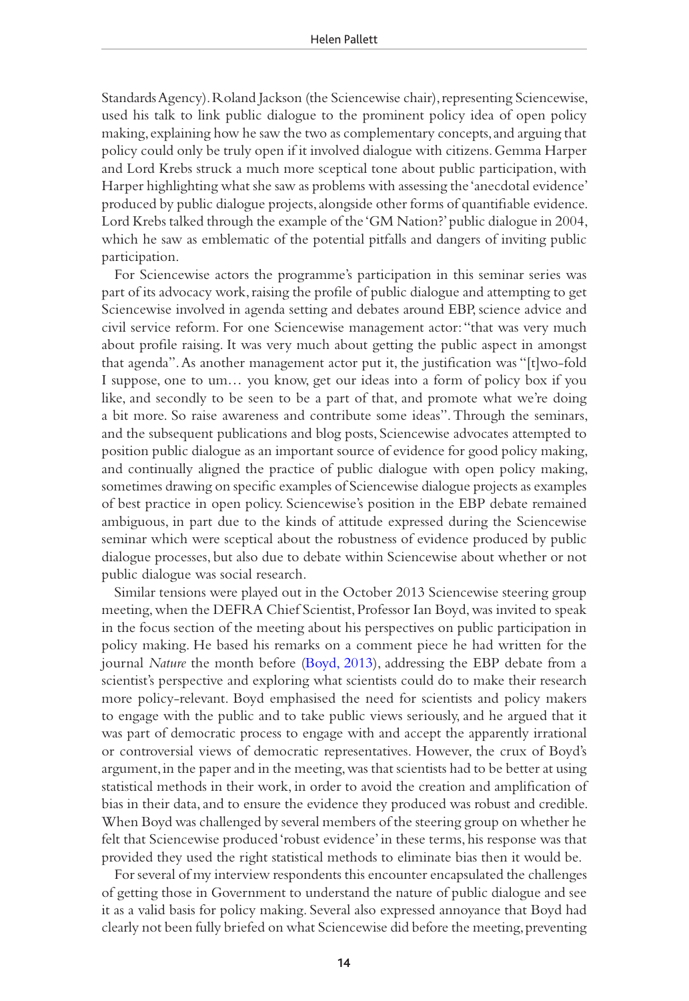Standards Agency). Roland Jackson (the Sciencewise chair), representing Sciencewise, used his talk to link public dialogue to the prominent policy idea of open policy making, explaining how he saw the two as complementary concepts, and arguing that policy could only be truly open if it involved dialogue with citizens. Gemma Harper and Lord Krebs struck a much more sceptical tone about public participation, with Harper highlighting what she saw as problems with assessing the 'anecdotal evidence' produced by public dialogue projects, alongside other forms of quantifiable evidence. Lord Krebs talked through the example of the 'GM Nation?' public dialogue in 2004, which he saw as emblematic of the potential pitfalls and dangers of inviting public participation.

For Sciencewise actors the programme's participation in this seminar series was part of its advocacy work, raising the profile of public dialogue and attempting to get Sciencewise involved in agenda setting and debates around EBP, science advice and civil service reform. For one Sciencewise management actor: "that was very much about profile raising. It was very much about getting the public aspect in amongst that agenda". As another management actor put it, the justification was "[t]wo-fold I suppose, one to um… you know, get our ideas into a form of policy box if you like, and secondly to be seen to be a part of that, and promote what we're doing a bit more. So raise awareness and contribute some ideas". Through the seminars, and the subsequent publications and blog posts, Sciencewise advocates attempted to position public dialogue as an important source of evidence for good policy making, and continually aligned the practice of public dialogue with open policy making, sometimes drawing on specific examples of Sciencewise dialogue projects as examples of best practice in open policy. Sciencewise's position in the EBP debate remained ambiguous, in part due to the kinds of attitude expressed during the Sciencewise seminar which were sceptical about the robustness of evidence produced by public dialogue processes, but also due to debate within Sciencewise about whether or not public dialogue was social research.

Similar tensions were played out in the October 2013 Sciencewise steering group meeting, when the DEFRA Chief Scientist, Professor Ian Boyd, was invited to speak in the focus section of the meeting about his perspectives on public participation in policy making. He based his remarks on a comment piece he had written for the journal *Nature* the month before [\(Boyd, 2013](#page-16-11)), addressing the EBP debate from a scientist's perspective and exploring what scientists could do to make their research more policy-relevant. Boyd emphasised the need for scientists and policy makers to engage with the public and to take public views seriously, and he argued that it was part of democratic process to engage with and accept the apparently irrational or controversial views of democratic representatives. However, the crux of Boyd's argument, in the paper and in the meeting, was that scientists had to be better at using statistical methods in their work, in order to avoid the creation and amplification of bias in their data, and to ensure the evidence they produced was robust and credible. When Boyd was challenged by several members of the steering group on whether he felt that Sciencewise produced 'robust evidence' in these terms, his response was that provided they used the right statistical methods to eliminate bias then it would be.

For several of my interview respondents this encounter encapsulated the challenges of getting those in Government to understand the nature of public dialogue and see it as a valid basis for policy making. Several also expressed annoyance that Boyd had clearly not been fully briefed on what Sciencewise did before the meeting, preventing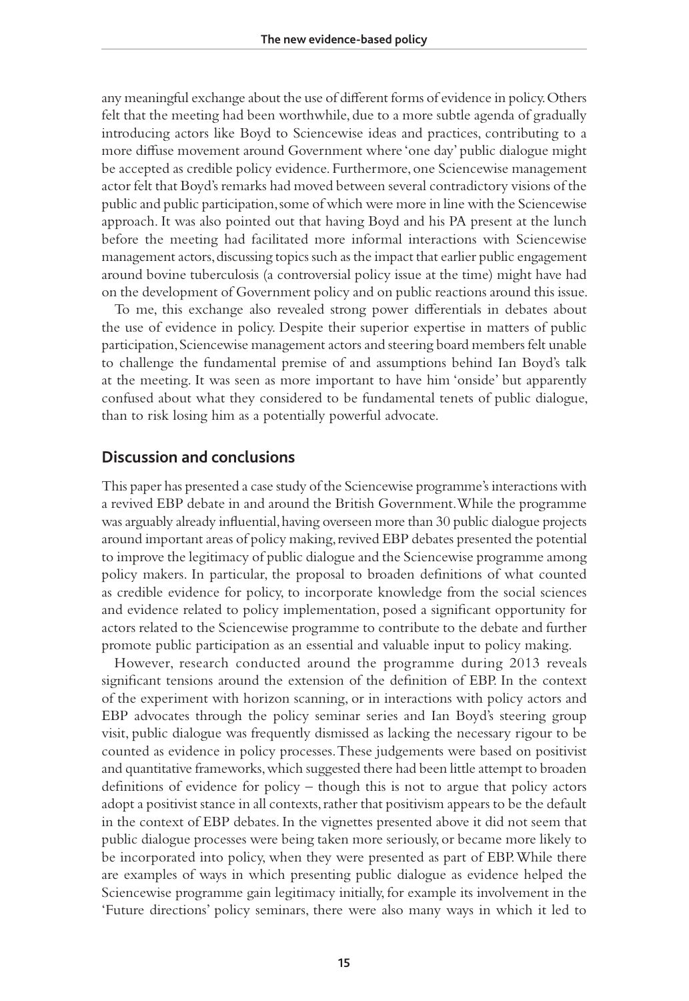any meaningful exchange about the use of different forms of evidence in policy. Others felt that the meeting had been worthwhile, due to a more subtle agenda of gradually introducing actors like Boyd to Sciencewise ideas and practices, contributing to a more diffuse movement around Government where 'one day' public dialogue might be accepted as credible policy evidence. Furthermore, one Sciencewise management actor felt that Boyd's remarks had moved between several contradictory visions of the public and public participation, some of which were more in line with the Sciencewise approach. It was also pointed out that having Boyd and his PA present at the lunch before the meeting had facilitated more informal interactions with Sciencewise management actors, discussing topics such as the impact that earlier public engagement around bovine tuberculosis (a controversial policy issue at the time) might have had on the development of Government policy and on public reactions around this issue.

To me, this exchange also revealed strong power differentials in debates about the use of evidence in policy. Despite their superior expertise in matters of public participation, Sciencewise management actors and steering board members felt unable to challenge the fundamental premise of and assumptions behind Ian Boyd's talk at the meeting. It was seen as more important to have him 'onside' but apparently confused about what they considered to be fundamental tenets of public dialogue, than to risk losing him as a potentially powerful advocate.

## **Discussion and conclusions**

This paper has presented a case study of the Sciencewise programme's interactions with a revived EBP debate in and around the British Government. While the programme was arguably already influential, having overseen more than 30 public dialogue projects around important areas of policy making, revived EBP debates presented the potential to improve the legitimacy of public dialogue and the Sciencewise programme among policy makers. In particular, the proposal to broaden definitions of what counted as credible evidence for policy, to incorporate knowledge from the social sciences and evidence related to policy implementation, posed a significant opportunity for actors related to the Sciencewise programme to contribute to the debate and further promote public participation as an essential and valuable input to policy making.

However, research conducted around the programme during 2013 reveals significant tensions around the extension of the definition of EBP. In the context of the experiment with horizon scanning, or in interactions with policy actors and EBP advocates through the policy seminar series and Ian Boyd's steering group visit, public dialogue was frequently dismissed as lacking the necessary rigour to be counted as evidence in policy processes. These judgements were based on positivist and quantitative frameworks, which suggested there had been little attempt to broaden definitions of evidence for policy – though this is not to argue that policy actors adopt a positivist stance in all contexts, rather that positivism appears to be the default in the context of EBP debates. In the vignettes presented above it did not seem that public dialogue processes were being taken more seriously, or became more likely to be incorporated into policy, when they were presented as part of EBP. While there are examples of ways in which presenting public dialogue as evidence helped the Sciencewise programme gain legitimacy initially, for example its involvement in the 'Future directions' policy seminars, there were also many ways in which it led to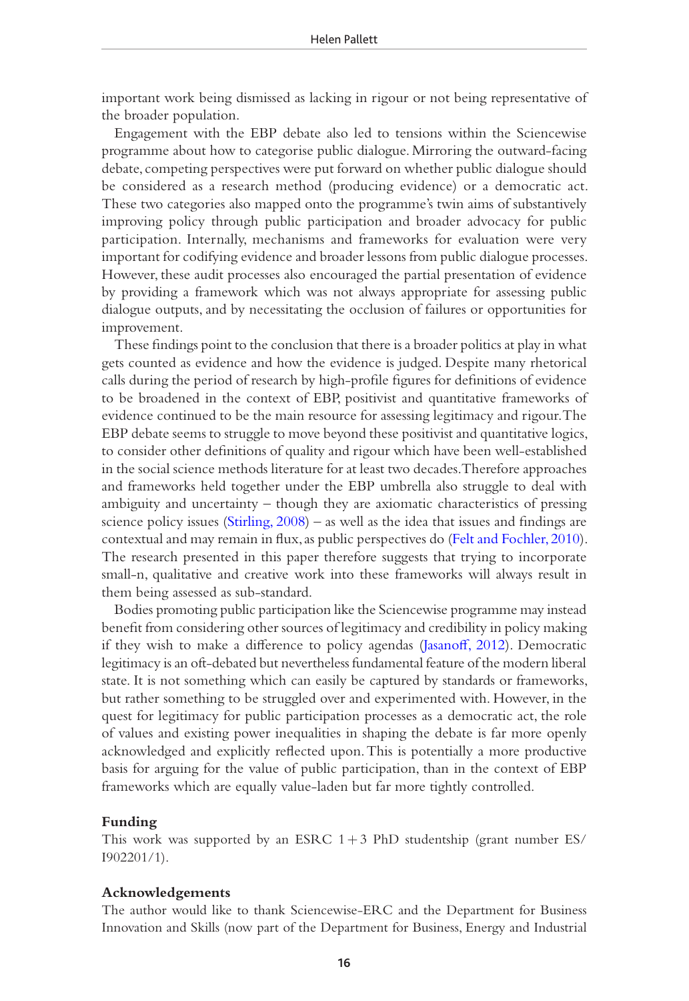important work being dismissed as lacking in rigour or not being representative of the broader population.

Engagement with the EBP debate also led to tensions within the Sciencewise programme about how to categorise public dialogue. Mirroring the outward-facing debate, competing perspectives were put forward on whether public dialogue should be considered as a research method (producing evidence) or a democratic act. These two categories also mapped onto the programme's twin aims of substantively improving policy through public participation and broader advocacy for public participation. Internally, mechanisms and frameworks for evaluation were very important for codifying evidence and broader lessons from public dialogue processes. However, these audit processes also encouraged the partial presentation of evidence by providing a framework which was not always appropriate for assessing public dialogue outputs, and by necessitating the occlusion of failures or opportunities for improvement.

These findings point to the conclusion that there is a broader politics at play in what gets counted as evidence and how the evidence is judged. Despite many rhetorical calls during the period of research by high-profile figures for definitions of evidence to be broadened in the context of EBP, positivist and quantitative frameworks of evidence continued to be the main resource for assessing legitimacy and rigour. The EBP debate seems to struggle to move beyond these positivist and quantitative logics, to consider other definitions of quality and rigour which have been well-established in the social science methods literature for at least two decades. Therefore approaches and frameworks held together under the EBP umbrella also struggle to deal with ambiguity and uncertainty – though they are axiomatic characteristics of pressing science policy issues [\(Stirling, 2008](#page-18-10)) – as well as the idea that issues and findings are contextual and may remain in flux, as public perspectives do [\(Felt and Fochler, 2010\)](#page-16-12). The research presented in this paper therefore suggests that trying to incorporate small-n, qualitative and creative work into these frameworks will always result in them being assessed as sub-standard.

Bodies promoting public participation like the Sciencewise programme may instead benefit from considering other sources of legitimacy and credibility in policy making if they wish to make a difference to policy agendas [\(Jasanoff, 2012\)](#page-17-7). Democratic legitimacy is an oft-debated but nevertheless fundamental feature of the modern liberal state. It is not something which can easily be captured by standards or frameworks, but rather something to be struggled over and experimented with. However, in the quest for legitimacy for public participation processes as a democratic act, the role of values and existing power inequalities in shaping the debate is far more openly acknowledged and explicitly reflected upon. This is potentially a more productive basis for arguing for the value of public participation, than in the context of EBP frameworks which are equally value-laden but far more tightly controlled.

#### **Funding**

This work was supported by an ESRC  $1+3$  PhD studentship (grant number ES/ I902201/1).

#### **Acknowledgements**

The author would like to thank Sciencewise-ERC and the Department for Business Innovation and Skills (now part of the Department for Business, Energy and Industrial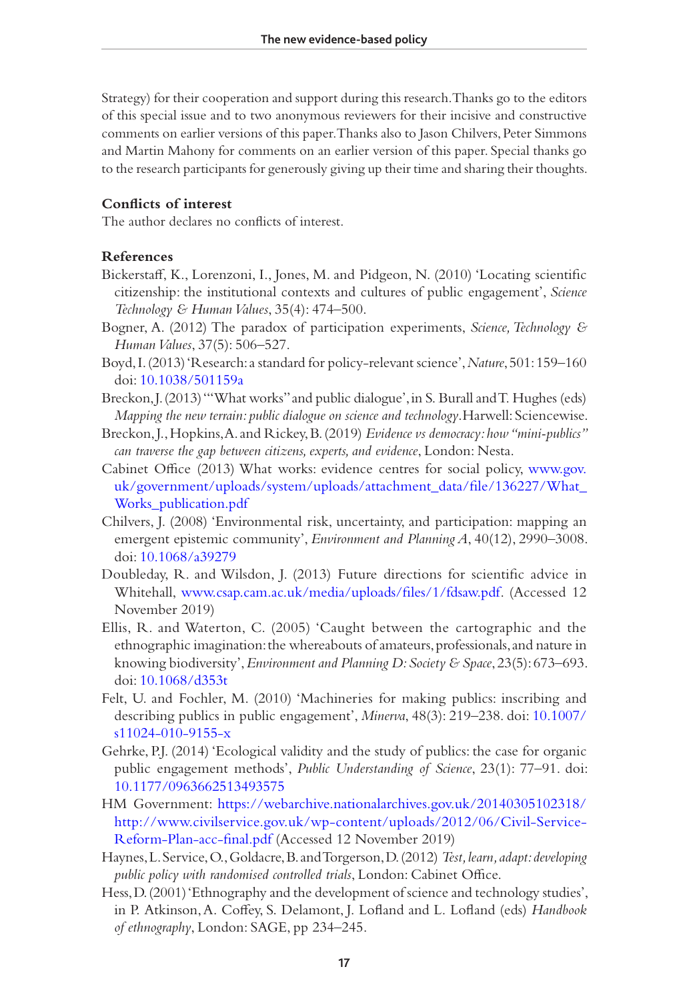Strategy) for their cooperation and support during this research. Thanks go to the editors of this special issue and to two anonymous reviewers for their incisive and constructive comments on earlier versions of this paper. Thanks also to Jason Chilvers, Peter Simmons and Martin Mahony for comments on an earlier version of this paper. Special thanks go to the research participants for generously giving up their time and sharing their thoughts.

#### **Conflicts of interest**

The author declares no conflicts of interest.

#### **References**

- <span id="page-16-5"></span>Bickerstaff, K., Lorenzoni, I., Jones, M. and Pidgeon, N. (2010) 'Locating scientific citizenship: the institutional contexts and cultures of public engagement', *Science Technology & Human Values*, 35(4): 474–500.
- <span id="page-16-4"></span>Bogner, A. (2012) The paradox of participation experiments, *Science, Technology & Human Values*, 37(5): 506–527.
- <span id="page-16-11"></span>Boyd, I. (2013) 'Research: a standard for policy-relevant science', *Nature*, 501: 159–160 doi: [10.1038/501159a](https://doi.org/10.1038/501159a)
- <span id="page-16-9"></span>Breckon, J. (2013) '"What works" and public dialogue', in S. Burall and T. Hughes (eds) *Mapping the new terrain: public dialogue on science and technology*.Harwell: Sciencewise.
- <span id="page-16-2"></span>Breckon, J., Hopkins, A. and Rickey, B. (2019) *Evidence vs democracy: how "mini-publics" can traverse the gap between citizens, experts, and evidence*, London: Nesta.
- <span id="page-16-1"></span>Cabinet Office (2013) What works: evidence centres for social policy, [www.gov.](www.gov.uk/government/uploads/system/uploads/attachment_data/file/136227/What_Works_publication.pdf) [uk/government/uploads/system/uploads/attachment\\_data/file/136227/What\\_](www.gov.uk/government/uploads/system/uploads/attachment_data/file/136227/What_Works_publication.pdf) [Works\\_publication.pdf](www.gov.uk/government/uploads/system/uploads/attachment_data/file/136227/What_Works_publication.pdf)
- <span id="page-16-3"></span>Chilvers, J. (2008) 'Environmental risk, uncertainty, and participation: mapping an emergent epistemic community', *Environment and Planning A*, 40(12), 2990–3008. doi: [10.1068/a39279](https://doi.org/10.1068/a39279)
- <span id="page-16-10"></span>Doubleday, R. and Wilsdon, J. (2013) Future directions for scientific advice in Whitehall, <www.csap.cam.ac.uk/media/uploads/files/1/fdsaw.pdf>. (Accessed 12 November 2019)
- <span id="page-16-7"></span>Ellis, R. and Waterton, C. (2005) 'Caught between the cartographic and the ethnographic imagination: the whereabouts of amateurs, professionals, and nature in knowing biodiversity', *Environment and Planning D: Society & Space*, 23(5): 673–693. doi: [10.1068/d353t](https://doi.org/10.1068/d353t)
- <span id="page-16-12"></span>Felt, U. and Fochler, M. (2010) 'Machineries for making publics: inscribing and describing publics in public engagement', *Minerva*, 48(3): 219–238. doi: [10.1007/](https://doi.org/10.1007/s11024-010-9155-x) [s11024-010-9155-x](https://doi.org/10.1007/s11024-010-9155-x)
- <span id="page-16-8"></span>Gehrke, P.J. (2014) 'Ecological validity and the study of publics: the case for organic public engagement methods', *Public Understanding of Science*, 23(1): 77–91. doi: [10.1177/0963662513493575](https://doi.org/10.1177/0963662513493575)
- HM Government: [https://webarchive.nationalarchives.gov.uk/20140305102318/](https://webarchive.nationalarchives.gov.uk/20140305102318/http://www.civilservice.gov.uk/wp-content/uploads/2012/06/Civil-Service-Reform-Plan-acc-final.pdf) [http://www.civilservice.gov.uk/wp-content/uploads/2012/06/Civil-Service-](https://webarchive.nationalarchives.gov.uk/20140305102318/http://www.civilservice.gov.uk/wp-content/uploads/2012/06/Civil-Service-Reform-Plan-acc-final.pdf)[Reform-Plan-acc-final.pdf](https://webarchive.nationalarchives.gov.uk/20140305102318/http://www.civilservice.gov.uk/wp-content/uploads/2012/06/Civil-Service-Reform-Plan-acc-final.pdf) (Accessed 12 November 2019)
- <span id="page-16-0"></span>Haynes, L. Service, O., Goldacre, B. and Torgerson, D. (2012) *Test, learn, adapt: developing public policy with randomised controlled trials*, London: Cabinet Office.
- <span id="page-16-6"></span>Hess, D. (2001) 'Ethnography and the development of science and technology studies', in P. Atkinson, A. Coffey, S. Delamont, J. Lofland and L. Lofland (eds) *Handbook of ethnography*, London: SAGE, pp 234–245.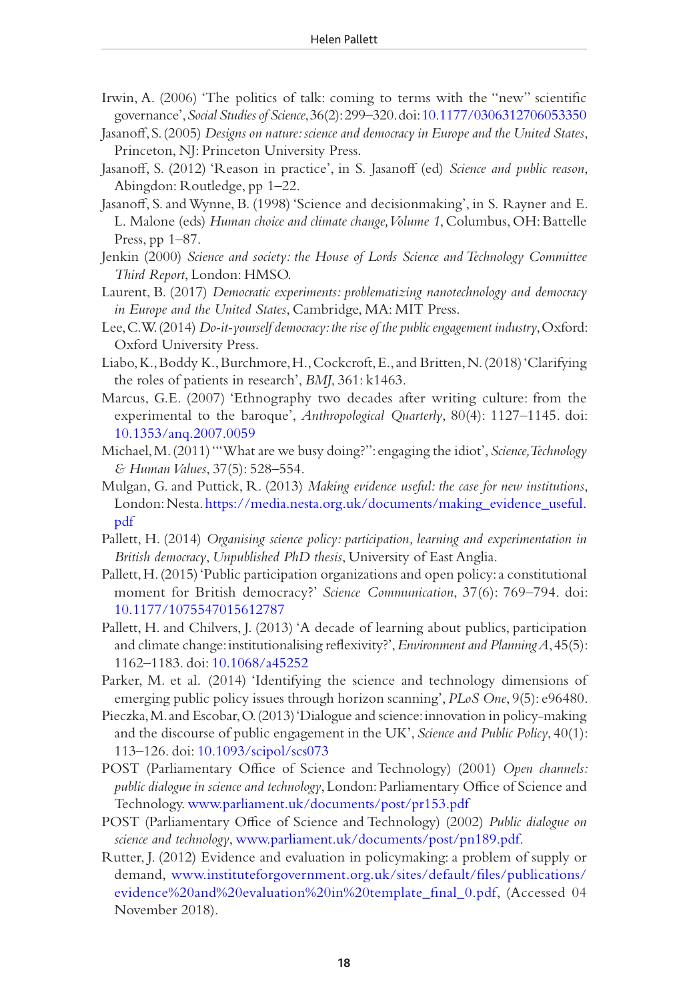- <span id="page-17-1"></span>Irwin, A. (2006) 'The politics of talk: coming to terms with the "new" scientific governance', *Social Studies of Science*, 36(2): 299–320. doi: [10.1177/0306312706053350](https://doi.org/10.1177/0306312706053350)
- <span id="page-17-10"></span>Jasanoff, S. (2005) *Designs on nature: science and democracy in Europe and the United States*, Princeton, NJ: Princeton University Press.
- <span id="page-17-7"></span>Jasanoff, S. (2012) 'Reason in practice', in S. Jasanoff (ed) *Science and public reason*, Abingdon: Routledge, pp 1–22.
- <span id="page-17-6"></span>Jasanoff, S. and Wynne, B. (1998) 'Science and decisionmaking', in S. Rayner and E. L. Malone (eds) *Human choice and climate change, Volume 1*, Columbus, OH: Battelle Press, pp 1–87.
- <span id="page-17-0"></span>Jenkin (2000) *Science and society: the House of Lords Science and Technology Committee Third Report*, London: HMSO.
- <span id="page-17-15"></span>Laurent, B. (2017) *Democratic experiments: problematizing nanotechnology and democracy in Europe and the United States*, Cambridge, MA: MIT Press.
- <span id="page-17-13"></span>Lee, C.W. (2014) *Do-it-yourself democracy: the rise of the public engagement industry*, Oxford: Oxford University Press.
- <span id="page-17-18"></span>Liabo, K., Boddy K., Burchmore, H., Cockcroft, E., and Britten, N. (2018) 'Clarifying the roles of patients in research', *BMJ*, 361: k1463.
- <span id="page-17-14"></span>Marcus, G.E. (2007) 'Ethnography two decades after writing culture: from the experimental to the baroque', *Anthropological Quarterly*, 80(4): 1127–1145. doi: [10.1353/anq.2007.0059](https://doi.org/10.1353/anq.2007.0059)
- <span id="page-17-8"></span>Michael, M. (2011) '"What are we busy doing?": engaging the idiot', *Science, Technology & Human Values*, 37(5): 528–554.
- <span id="page-17-5"></span>Mulgan, G. and Puttick, R. (2013) *Making evidence useful: the case for new institutions*, London: Nesta[. https://media.nesta.org.uk/documents/making\\_evidence\\_useful.](https://media.nesta.org.uk/documents/making_evidence_useful.pdf) [pdf](https://media.nesta.org.uk/documents/making_evidence_useful.pdf)
- <span id="page-17-16"></span>Pallett, H. (2014) *Organising science policy: participation, learning and experimentation in British democracy*, *Unpublished PhD thesis*, University of East Anglia.
- <span id="page-17-2"></span>Pallett, H. (2015) 'Public participation organizations and open policy: a constitutional moment for British democracy?' *Science Communication*, 37(6): 769–794. doi: [10.1177/1075547015612787](https://doi.org/10.1177/1075547015612787)
- <span id="page-17-3"></span>Pallett, H. and Chilvers, J. (2013) 'A decade of learning about publics, participation and climate change: institutionalising reflexivity?', *Environment and Planning A*, 45(5): 1162–1183. doi: [10.1068/a45252](https://doi.org/10.1068/a45252)
- <span id="page-17-17"></span>Parker, M. et al. (2014) 'Identifying the science and technology dimensions of emerging public policy issues through horizon scanning', *PLoS One*, 9(5): e96480.
- <span id="page-17-9"></span>Pieczka, M. and Escobar, O. (2013) 'Dialogue and science: innovation in policy-making and the discourse of public engagement in the UK', *Science and Public Policy*, 40(1): 113–126. doi: [10.1093/scipol/scs073](https://doi.org/10.1093/scipol/scs073)
- <span id="page-17-11"></span>POST (Parliamentary Office of Science and Technology) (2001) *Open channels: public dialogue in science and technology*, London: Parliamentary Office of Science and Technology. <www.parliament.uk/documents/post/pr153.pdf>
- <span id="page-17-12"></span>POST (Parliamentary Office of Science and Technology) (2002) *Public dialogue on science and technology*, <www.parliament.uk/documents/post/pn189.pdf>.
- <span id="page-17-4"></span>Rutter, J. (2012) Evidence and evaluation in policymaking: a problem of supply or demand, [www.instituteforgovernment.org.uk/sites/default/files/publications/](www.instituteforgovernment.org.uk/sites/default/files/publications/evidence%20and%20evaluation%20in%20template_final_0.pdf) [evidence%20and%20evaluation%20in%20template\\_final\\_0.pdf,](www.instituteforgovernment.org.uk/sites/default/files/publications/evidence%20and%20evaluation%20in%20template_final_0.pdf) (Accessed 04 November 2018).